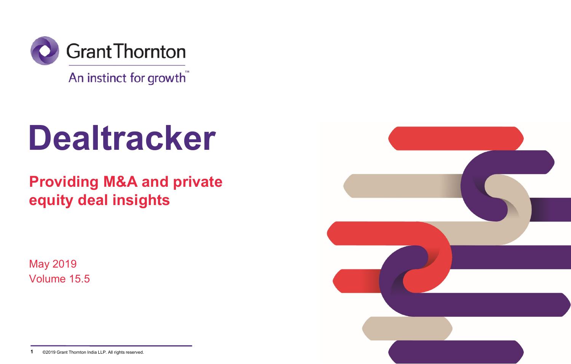

An instinct for growth

# **Dealtracker**

**Providing M&A and private equity deal insights**

May 2019 Volume 15.5



**<sup>1</sup>** ©2019 Grant Thornton India LLP. All rights reserved.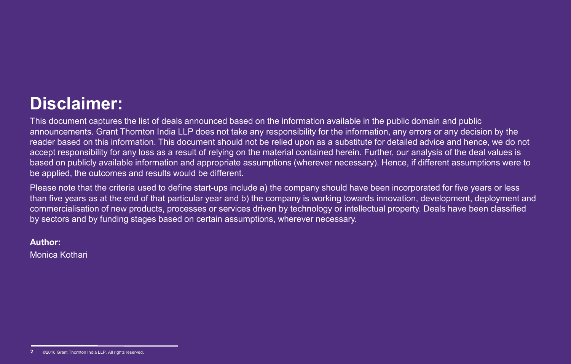### **Disclaimer:**

This document captures the list of deals announced based on the information available in the public domain and public announcements. Grant Thornton India LLP does not take any responsibility for the information, any errors or any decision by the reader based on this information. This document should not be relied upon as a substitute for detailed advice and hence, we do not accept responsibility for any loss as a result of relying on the material contained herein. Further, our analysis of the deal values is based on publicly available information and appropriate assumptions (wherever necessary). Hence, if different assumptions were to be applied, the outcomes and results would be different.

Please note that the criteria used to define start-ups include a) the company should have been incorporated for five years or less than five years as at the end of that particular year and b) the company is working towards innovation, development, deployment and commercialisation of new products, processes or services driven by technology or intellectual property. Deals have been classified by sectors and by funding stages based on certain assumptions, wherever necessary.

### **Author:**

Monica Kothari

<sup>©2018</sup> Grant Thornton India LLP. All rights reserved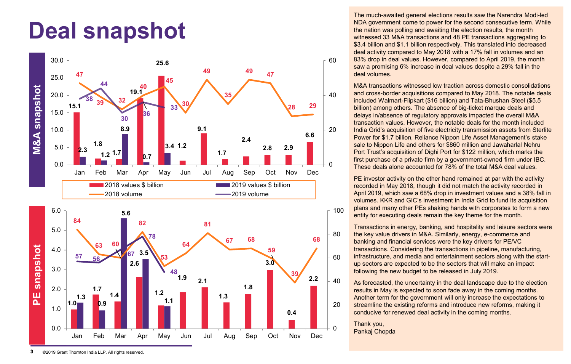## **Deal snapshot**



The much-awaited general elections results saw the Narendra Modi-led NDA government come to power for the second consecutive term. While the nation was polling and awaiting the election results, the month witnessed 33 M&A transactions and 48 PE transactions aggregating to \$3.4 billion and \$1.1 billion respectively. This translated into decreased deal activity compared to May 2018 with a 17% fall in volumes and an 83% drop in deal values. However, compared to April 2019, the month saw a promising 6% increase in deal values despite a 29% fall in the deal volumes.

M&A transactions witnessed low traction across domestic consolidations and cross-border acquisitions compared to May 2018. The notable deals included Walmart-Flipkart (\$16 billion) and Tata-Bhushan Steel (\$5.5 billion) among others. The absence of big-ticket marque deals and delays in/absence of regulatory approvals impacted the overall M&A transaction values. However, the notable deals for the month included India Grid's acquisition of five electricity transmission assets from Sterlite Power for \$1.7 billion, Reliance Nippon Life Asset Management's stake sale to Nippon Life and others for \$860 million and Jawaharlal Nehru Port Trust's acquisition of Dighi Port for \$122 million, which marks the first purchase of a private firm by a government-owned firm under IBC. These deals alone accounted for 78% of the total M&A deal values.

PE investor activity on the other hand remained at par with the activity recorded in May 2018, though it did not match the activity recorded in April 2019, which saw a 68% drop in investment values and a 38% fall in volumes. KKR and GIC's investment in India Grid to fund its acquisition plans and many other PEs shaking hands with corporates to form a new entity for executing deals remain the key theme for the month.

Transactions in energy, banking, and hospitality and leisure sectors were the key value drivers in M&A. Similarly, energy, e-commerce and banking and financial services were the key drivers for PE/VC transactions. Considering the transactions in pipeline, manufacturing, infrastructure, and media and entertainment sectors along with the startup sectors are expected to be the sectors that will make an impact following the new budget to be released in July 2019.

As forecasted, the uncertainty in the deal landscape due to the election results in May is expected to soon fade away in the coming months. Another term for the government will only increase the expectations to streamline the existing reforms and introduce new reforms, making it conducive for renewed deal activity in the coming months.

Thank you, Pankaj Chopda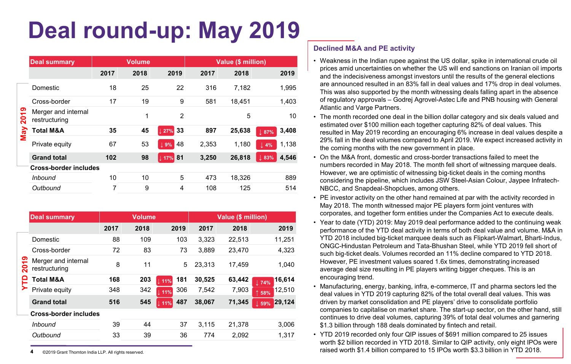## **Deal round-up: May 2019**

|              | <b>Deal summary</b>                  | <b>Volume</b> |      |                  | Value (\$ million) |        |                           |
|--------------|--------------------------------------|---------------|------|------------------|--------------------|--------|---------------------------|
|              |                                      | 2017          | 2018 | 2019             | 2017               | 2018   | 2019                      |
|              | Domestic                             | 18            | 25   | 22               | 316                | 7.182  | 1,995                     |
|              | Cross-border                         | 17            | 19   | 9                | 581                | 18,451 | 1,403                     |
| တ<br>÷<br>ິລ | Merger and internal<br>restructuring |               | 1    | $\mathfrak{p}$   |                    | 5      | 10                        |
| λ            | <b>Total M&amp;A</b>                 | 35            | 45   | 33<br>27%        | 897                | 25,638 | 3,408<br>$\perp$ 87%      |
| Σ            | Private equity                       | 67            | 53   | 48<br>$\perp$ 9% | 2,353              | 1,180  | 1,138<br>$\perp$ 4%       |
|              | <b>Grand total</b>                   | 102           | 98   | $\sqrt{17\%}$ 81 | 3,250              | 26,818 | 4,546<br>$\downarrow$ 83% |
|              | <b>Cross-border includes</b>         |               |      |                  |                    |        |                           |
|              | <i>Inbound</i>                       | 10            | 10   | 5                | 473                | 18.326 | 889                       |
|              | Outbound                             | 7             | 9    | 4                | 108                | 125    | 514                       |

|   | <b>Deal summary</b>                  |      | <b>Volume</b> |                    |        | Value (\$ million) |                 |        |
|---|--------------------------------------|------|---------------|--------------------|--------|--------------------|-----------------|--------|
|   |                                      | 2017 | 2018          | 2019               | 2017   | 2018               |                 | 2019   |
|   | Domestic                             | 88   | 109           | 103                | 3,323  | 22,513             |                 | 11,251 |
|   | Cross-border                         | 72   | 83            | 73                 | 3.889  | 23.470             |                 | 4,323  |
| ႙ | Merger and internal<br>restructuring | 8    | 11            | 5                  | 23.313 | 17.459             |                 | 1.040  |
|   | <b>Total M&amp;A</b>                 | 168  | 203           | 181<br>$\pm 11\%$  | 30,525 | 63,442             | $\parallel$ 74% | 16,614 |
|   | Private equity                       | 348  | 342           | 306<br>111%        | 7,542  | 7,903              | ↑ 58%           | 12,510 |
|   | <b>Grand total</b>                   | 516  | 545           | 487<br>$\perp$ 11% | 38,067 | 71,345             | $\parallel$ 59% | 29,124 |
|   | <b>Cross-border includes</b>         |      |               |                    |        |                    |                 |        |
|   | Inbound                              | 39   | 44            | 37                 | 3.115  | 21.378             |                 | 3,006  |
|   | Outbound                             | 33   | 39            | 36                 | 774    | 2,092              |                 | 1,317  |

**4** ©2019 Grant Thornton India LLP. All rights reserved.

### **Declined M&A and PE activity**

- Weakness in the Indian rupee against the US dollar, spike in international crude oil prices amid uncertainties on whether the US will end sanctions on Iranian oil imports and the indecisiveness amongst investors until the results of the general elections are announced resulted in an 83% fall in deal values and 17% drop in deal volumes. This was also supported by the month witnessing deals falling apart in the absence of regulatory approvals – Godrej Agrovel-Astec Life and PNB housing with General Atlantic and Varge Partners.
- The month recorded one deal in the billion dollar category and six deals valued and estimated over \$100 million each together capturing 82% of deal values. This resulted in May 2019 recording an encouraging 6% increase in deal values despite a 29% fall in the deal volumes compared to April 2019. We expect increased activity in the coming months with the new government in place.
- On the M&A front, domestic and cross-border transactions failed to meet the numbers recorded in May 2018. The month fell short of witnessing marquee deals. However, we are optimistic of witnessing big-ticket deals in the coming months considering the pipeline, which includes JSW Steel-Asian Colour, Jaypee Infratech-NBCC, and Snapdeal-Shopclues, among others.
- PE investor activity on the other hand remained at par with the activity recorded in May 2018. The month witnessed major PE players form joint ventures with corporates, and together form entities under the Companies Act to execute deals.
- Year to date (YTD) 2019: May 2019 deal performance added to the continuing weak performance of the YTD deal activity in terms of both deal value and volume. M&A in YTD 2018 included big-ticket marquee deals such as Flipkart-Walmart, Bharti-Indus, ONGC-Hindustan Petroleum and Tata-Bhushan Steel, while YTD 2019 fell short of such big-ticket deals. Volumes recorded an 11% decline compared to YTD 2018. However, PE investment values soared 1.6x times, demonstrating increased average deal size resulting in PE players writing bigger cheques. This is an encouraging trend.
- Manufacturing, energy, banking, infra, e-commerce, IT and pharma sectors led the deal values in YTD 2019 capturing 82% of the total overall deal values. This was driven by market consolidation and PE players' drive to consolidate portfolio companies to capitalise on market share. The start-up sector, on the other hand, still continues to drive deal volumes, capturing 39% of total deal volumes and garnering \$1.3 billion through 188 deals dominated by fintech and retail.
- YTD 2019 recorded only four QIP issues of \$691 million compared to 25 issues worth \$2 billion recorded in YTD 2018. Similar to QIP activity, only eight IPOs were raised worth \$1.4 billion compared to 15 IPOs worth \$3.3 billion in YTD 2018.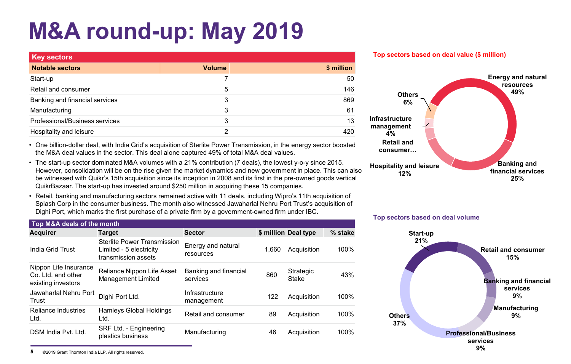# **M&A round-up: May 2019**

| <b>Key sectors</b>             |               |            |
|--------------------------------|---------------|------------|
| <b>Notable sectors</b>         | <b>Volume</b> | \$ million |
| Start-up                       |               | 50         |
| Retail and consumer            | 5             | 146        |
| Banking and financial services | 3             | 869        |
| Manufacturing                  | 3             | 61         |
| Professional/Business services | 3             | 13         |
| Hospitality and leisure        | ົ             | 420        |

• One billion-dollar deal, with India Grid's acquisition of Sterlite Power Transmission, in the energy sector boosted the M&A deal values in the sector. This deal alone captured 49% of total M&A deal values.

- The start-up sector dominated M&A volumes with a 21% contribution (7 deals), the lowest y-o-y since 2015. However, consolidation will be on the rise given the market dynamics and new government in place. This can also be witnessed with Quikr's 15th acquisition since its inception in 2008 and its first in the pre-owned goods vertical QuikrBazaar. The start-up has invested around \$250 million in acquiring these 15 companies.
- Retail, banking and manufacturing sectors remained active with 11 deals, including Wipro's 11th acquisition of Splash Corp in the consumer business. The month also witnessed Jawaharlal Nehru Port Trust's acquisition of Dighi Port, which marks the first purchase of a private firm by a government-owned firm under IBC.

| Top M&A deals of the month                                        |                                                                                      |                                   |       |                      |         |
|-------------------------------------------------------------------|--------------------------------------------------------------------------------------|-----------------------------------|-------|----------------------|---------|
| <b>Acquirer</b>                                                   | <b>Target</b>                                                                        | <b>Sector</b>                     |       | \$ million Deal type | % stake |
| India Grid Trust                                                  | <b>Sterlite Power Transmission</b><br>Limited - 5 electricity<br>transmission assets | Energy and natural<br>resources   | 1.660 | Acquisition          | 100%    |
| Nippon Life Insurance<br>Co. Ltd. and other<br>existing investors | Reliance Nippon Life Asset<br>Management Limited                                     | Banking and financial<br>services | 860   | Strategic<br>Stake   | 43%     |
| Jawaharlal Nehru Port<br>Trust                                    | Dighi Port Ltd.                                                                      | Infrastructure<br>management      | 122   | Acquisition          | 100%    |
| <b>Reliance Industries</b><br>Ltd.                                | Hamleys Global Holdings<br>Ltd.                                                      | Retail and consumer               | 89    | Acquisition          | 100%    |
| DSM India Pvt. Ltd.                                               | SRF Ltd. - Engineering<br>plastics business                                          | Manufacturing                     | 46    | Acquisition          | 100%    |
|                                                                   |                                                                                      |                                   |       |                      |         |



**Top sectors based on deal volume**





**5** ©2019 Grant Thornton India LLP. All rights reserved.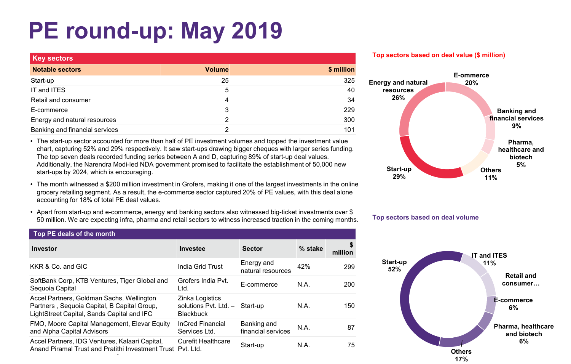# **PE round-up: May 2019**

| <b>Key sectors</b>             |               |            |  |  |  |  |  |  |
|--------------------------------|---------------|------------|--|--|--|--|--|--|
| <b>Notable sectors</b>         | <b>Volume</b> | \$ million |  |  |  |  |  |  |
| Start-up                       | 25            | 325        |  |  |  |  |  |  |
| IT and ITES                    | 5             | 40         |  |  |  |  |  |  |
| Retail and consumer            | 4             | 34         |  |  |  |  |  |  |
| E-commerce                     | 3             | 229        |  |  |  |  |  |  |
| Energy and natural resources   | າ             | 300        |  |  |  |  |  |  |
| Banking and financial services | ົ             | 101        |  |  |  |  |  |  |

• The start-up sector accounted for more than half of PE investment volumes and topped the investment value chart, capturing 52% and 29% respectively. It saw start-ups drawing bigger cheques with larger series funding. The top seven deals recorded funding series between A and D, capturing 89% of start-up deal values. Additionally, the Narendra Modi-led NDA government promised to facilitate the establishment of 50,000 new start-ups by 2024, which is encouraging.

- The month witnessed a \$200 million investment in Grofers, making it one of the largest investments in the online grocery retailing segment. As a result, the e-commerce sector captured 20% of PE values, with this deal alone accounting for 18% of total PE deal values.
- Apart from start-up and e-commerce, energy and banking sectors also witnessed big-ticket investments over \$ 50 million. We are expecting infra, pharma and retail sectors to witness increased traction in the coming months.

| Top PE deals of the month                                                                                                              |                                                                       |                                   |             |         |  |  |  |
|----------------------------------------------------------------------------------------------------------------------------------------|-----------------------------------------------------------------------|-----------------------------------|-------------|---------|--|--|--|
| <b>Investor</b>                                                                                                                        | Investee                                                              | <b>Sector</b>                     | % stake     | million |  |  |  |
| KKR & Co. and GIC                                                                                                                      | India Grid Trust                                                      | Energy and<br>natural resources   | 42%         | 299     |  |  |  |
| SoftBank Corp, KTB Ventures, Tiger Global and<br>Sequoia Capital                                                                       | Grofers India Pvt.<br>Ltd.                                            | F-commerce                        | N.A.        | 200     |  |  |  |
| Accel Partners, Goldman Sachs, Wellington<br>Partners, Sequoia Capital, B Capital Group,<br>LightStreet Capital, Sands Capital and IFC | Zinka Logistics<br>solutions Pvt. Ltd. - Start-up<br><b>Blackbuck</b> |                                   | <b>N.A.</b> | 150     |  |  |  |
| FMO, Moore Capital Management, Elevar Equity<br>and Alpha Capital Advisors                                                             | <b>InCred Financial</b><br>Services Ltd.                              | Banking and<br>financial services | N.A.        | 87      |  |  |  |
| Accel Partners, IDG Ventures, Kalaari Capital,<br>Anand Piramal Trust and Pratithi Investment Trust Pvt. Ltd.                          | <b>Curefit Healthcare</b>                                             | Start-up                          | N.A.        | 75      |  |  |  |

### **Top sectors based on deal value (\$ million)**





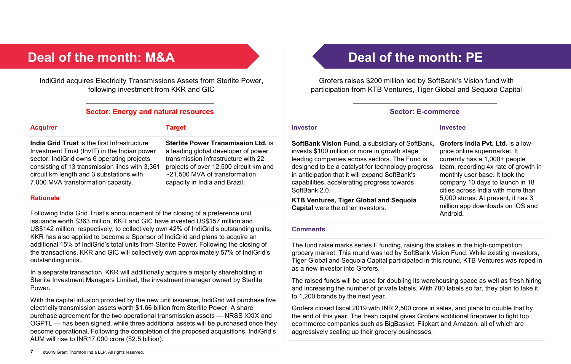### **Deal of the month: M&A Deal of the month: PE**

IndiGrid acquires Electricity Transmissions Assets from Sterlite Power, following investment from KKR and GIC

### **Sector: Energy and natural resources Sector: E-commerce**

#### **Acquirer Target**

**India Grid Trust** is the first Infrastructure Investment Trust (InvIT) in the Indian power sector. IndiGrid owns 6 operating projects consisting of 13 transmission lines with 3,361 circuit km length and 3 substations with 7,000 MVA transformation capacity.

**Sterlite Power Transmission Ltd.** is a leading global developer of power transmission infrastructure with 22 projects of over 12,500 circuit km and ~21,500 MVA of transformation capacity in India and Brazil.

#### **Rationale**

Following India Grid Trust's announcement of the closing of a preference unit issuance worth \$363 million, KKR and GIC have invested US\$157 million and US\$142 million, respectively, to collectively own 42% of IndiGrid's outstanding units. KKR has also applied to become a Sponsor of IndiGrid and plans to acquire an additional 15% of IndiGrid's total units from Sterlite Power. Following the closing of the transactions, KKR and GIC will collectively own approximately 57% of IndiGrid's outstanding units.

In a separate transaction, KKR will additionally acquire a majority shareholding in Sterlite Investment Managers Limited, the investment manager owned by Sterlite Power.

With the capital infusion provided by the new unit issuance, IndiGrid will purchase five electricity transmission assets worth \$1.66 billion from Sterlite Power. A share purchase agreement for the two operational transmission assets — NRSS XXIX and OGPTL — has been signed, while three additional assets will be purchased once they become operational. Following the completion of the proposed acquisitions, IndiGrid's AUM will rise to INR17,000 crore (\$2.5 billion).

Grofers raises \$200 million led by SoftBank's Vision fund with participation from KTB Ventures, Tiger Global and Sequoia Capital

#### **Investor Investee**

**SoftBank Vision Fund, a subsidiary of SoftBank,** invests \$100 million or more in growth stage leading companies across sectors. The Fund is designed to be a catalyst for technology progress in anticipation that it will expand SoftBank's capabilities, accelerating progress towards SoftBank 2.0.

**KTB Ventures, Tiger Global and Sequoia Capital** were the other investors.

**Grofers India Pvt. Ltd.** is a lowprice online supermarket. It currently has a 1,000+ people team, recording 4x rate of growth in monthly user base. It took the company 10 days to launch in 18 cities across India with more than 5,000 stores. At present, it has 3 million app downloads on iOS and Android.

### **Comments**

The fund raise marks series F funding, raising the stakes in the high-competition grocery market. This round was led by SoftBank Vision Fund. While existing investors, Tiger Global and Sequoia Capital participated in this round, KTB Ventures was roped in as a new investor into Grofers.

The raised funds will be used for doubling its warehousing space as well as fresh hiring and increasing the number of private labels. With 780 labels so far, they plan to take it to 1,200 brands by the next year.

Grofers closed fiscal 2019 with INR 2,500 crore in sales, and plans to double that by the end of this year. The fresh capital gives Grofers additional firepower to fight top ecommerce companies such as BigBasket, Flipkart and Amazon, all of which are aggressively scaling up their grocery businesses.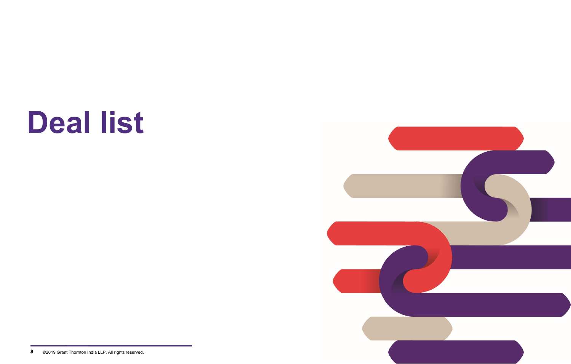# **Deal list**



**<sup>8</sup>** ©2019 Grant Thornton India LLP. All rights reserved.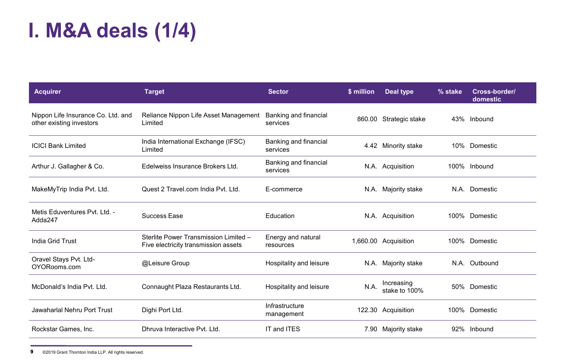### **I. M&A deals (1/4)**

| <b>Acquirer</b>                                                | <b>Target</b>                                                                 | <b>Sector</b>                     | \$ million | Deal type                   | % stake | Cross-border/<br>domestic |
|----------------------------------------------------------------|-------------------------------------------------------------------------------|-----------------------------------|------------|-----------------------------|---------|---------------------------|
| Nippon Life Insurance Co. Ltd. and<br>other existing investors | Reliance Nippon Life Asset Management<br>Limited                              | Banking and financial<br>services |            | 860.00 Strategic stake      |         | 43% Inbound               |
| <b>ICICI Bank Limited</b>                                      | India International Exchange (IFSC)<br>Limited                                | Banking and financial<br>services | 4.42       | Minority stake              |         | 10% Domestic              |
| Arthur J. Gallagher & Co.                                      | Edelweiss Insurance Brokers Ltd.                                              | Banking and financial<br>services |            | N.A. Acquisition            |         | 100% Inbound              |
| MakeMyTrip India Pvt. Ltd.                                     | Quest 2 Travel.com India Pvt. Ltd.                                            | E-commerce                        |            | N.A. Majority stake         |         | N.A. Domestic             |
| Metis Eduventures Pvt. Ltd. -<br>Adda247                       | Success Ease                                                                  | Education                         |            | N.A. Acquisition            |         | 100% Domestic             |
| India Grid Trust                                               | Sterlite Power Transmission Limited -<br>Five electricity transmission assets | Energy and natural<br>resources   |            | 1,660.00 Acquisition        |         | 100% Domestic             |
| Oravel Stays Pvt. Ltd-<br>OYORooms.com                         | @Leisure Group                                                                | Hospitality and leisure           |            | N.A. Majority stake         |         | N.A. Outbound             |
| McDonald's India Pvt. Ltd.                                     | Connaught Plaza Restaurants Ltd.                                              | Hospitality and leisure           | N.A.       | Increasing<br>stake to 100% |         | 50% Domestic              |
| Jawaharlal Nehru Port Trust                                    | Dighi Port Ltd.                                                               | Infrastructure<br>management      |            | 122.30 Acquisition          |         | 100% Domestic             |
| Rockstar Games, Inc.                                           | Dhruya Interactive Pyt. Ltd.                                                  | IT and ITES                       |            | 7.90 Majority stake         |         | 92% Inbound               |

**9** ©2019 Grant Thornton India LLP. All rights reserved.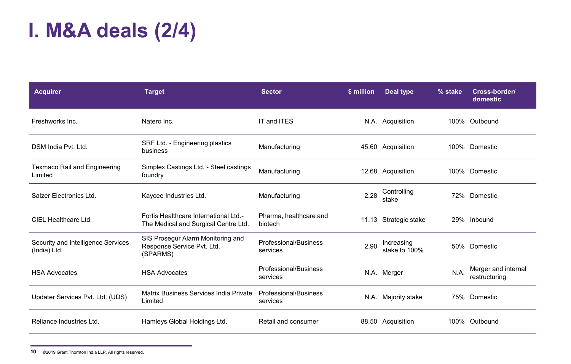### **I. M&A deals (2/4)**

| <b>Acquirer</b>                                    | <b>Target</b>                                                                 | <b>Sector</b>                     | \$ million | Deal type                   | % stake | Cross-border/<br>domestic            |
|----------------------------------------------------|-------------------------------------------------------------------------------|-----------------------------------|------------|-----------------------------|---------|--------------------------------------|
| Freshworks Inc.                                    | Natero Inc.                                                                   | IT and ITES                       |            | N.A. Acquisition            |         | 100% Outbound                        |
| DSM India Pvt. Ltd.                                | SRF Ltd. - Engineering plastics<br>business                                   | Manufacturing                     |            | 45.60 Acquisition           |         | 100% Domestic                        |
| <b>Texmaco Rail and Engineering</b><br>Limited     | Simplex Castings Ltd. - Steel castings<br>foundry                             | Manufacturing                     |            | 12.68 Acquisition           |         | 100% Domestic                        |
| Salzer Electronics Ltd.                            | Kaycee Industries Ltd.                                                        | Manufacturing                     | 2.28       | Controlling<br>stake        |         | 72% Domestic                         |
| CIEL Healthcare Ltd.                               | Fortis Healthcare International Ltd.-<br>The Medical and Surgical Centre Ltd. | Pharma, healthcare and<br>biotech |            | 11.13 Strategic stake       |         | 29% Inbound                          |
| Security and Intelligence Services<br>(India) Ltd. | SIS Prosegur Alarm Monitoring and<br>Response Service Pvt. Ltd.<br>(SPARMS)   | Professional/Business<br>services | 2.90       | Increasing<br>stake to 100% |         | 50% Domestic                         |
| <b>HSA Advocates</b>                               | <b>HSA Advocates</b>                                                          | Professional/Business<br>services |            | N.A. Merger                 | N.A.    | Merger and internal<br>restructuring |
| Updater Services Pvt. Ltd. (UDS)                   | Matrix Business Services India Private<br>Limited                             | Professional/Business<br>services |            | N.A. Majority stake         |         | 75% Domestic                         |
| Reliance Industries Ltd.                           | Hamleys Global Holdings Ltd.                                                  | Retail and consumer               |            | 88.50 Acquisition           |         | 100% Outbound                        |

**<sup>10</sup>** ©2019 Grant Thornton India LLP. All rights reserved.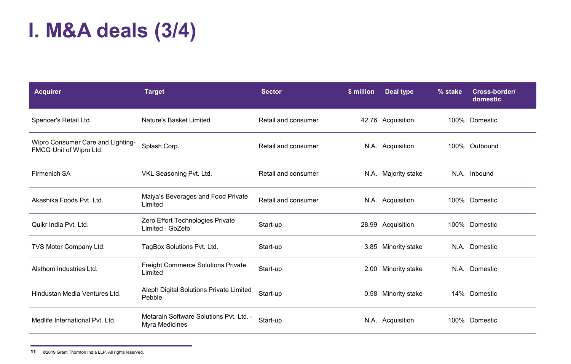### **I. M&A deals (3/4)**

| <b>Acquirer</b>                                              | <b>Target</b>                                             | <b>Sector</b>       | \$ million | Deal type           | % stake | Cross-border/<br>domestic |
|--------------------------------------------------------------|-----------------------------------------------------------|---------------------|------------|---------------------|---------|---------------------------|
| Spencer's Retail Ltd.                                        | Nature's Basket Limited                                   | Retail and consumer |            | 42.76 Acquisition   |         | 100% Domestic             |
| Wipro Consumer Care and Lighting-<br>FMCG Unit of Wipro Ltd. | Splash Corp.                                              | Retail and consumer |            | N.A. Acquisition    |         | 100% Outbound             |
| Firmenich SA                                                 | VKL Seasoning Pvt. Ltd.                                   | Retail and consumer |            | N.A. Majority stake |         | N.A. Inbound              |
| Akashika Foods Pyt. Ltd.                                     | Maiya's Beverages and Food Private<br>Limited             | Retail and consumer |            | N.A. Acquisition    |         | 100% Domestic             |
| Quikr India Pvt. Ltd.                                        | Zero Effort Technologies Private<br>Limited - GoZefo      | Start-up            |            | 28.99 Acquisition   |         | 100% Domestic             |
| TVS Motor Company Ltd.                                       | TagBox Solutions Pvt. Ltd.                                | Start-up            |            | 3.85 Minority stake |         | N.A. Domestic             |
| Alsthom Industries Ltd.                                      | Freight Commerce Solutions Private<br>Limited             | Start-up            |            | 2.00 Minority stake |         | N.A. Domestic             |
| Hindustan Media Ventures Ltd.                                | Aleph Digital Solutions Private Limited<br>Pebble         | Start-up            |            | 0.58 Minority stake |         | 14% Domestic              |
| Medlife International Pvt. Ltd.                              | Metarain Software Solutions Pvt. Ltd. -<br>Myra Medicines | Start-up            |            | N.A. Acquisition    |         | 100% Domestic             |

**<sup>11</sup>** ©2019 Grant Thornton India LLP. All rights reserved.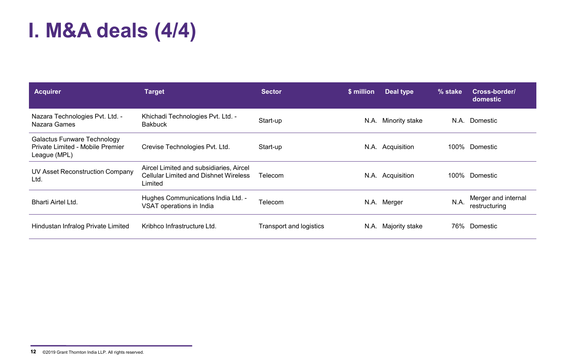### **I. M&A deals (4/4)**

| <b>Acquirer</b>                                                                 | <b>Target</b>                                                                               | <b>Sector</b>           | \$ million | Deal type        | % stake | Cross-border/<br>domestic            |
|---------------------------------------------------------------------------------|---------------------------------------------------------------------------------------------|-------------------------|------------|------------------|---------|--------------------------------------|
| Nazara Technologies Pvt. Ltd. -<br>Nazara Games                                 | Khichadi Technologies Pvt. Ltd. -<br><b>Bakbuck</b>                                         | Start-up                | N.A.       | Minority stake   | N.A.    | Domestic                             |
| Galactus Funware Technology<br>Private Limited - Mobile Premier<br>League (MPL) | Crevise Technologies Pvt. Ltd.                                                              | Start-up                |            | N.A. Acquisition | 100%    | Domestic                             |
| UV Asset Reconstruction Company<br>Ltd.                                         | Aircel Limited and subsidiaries, Aircel<br>Cellular Limited and Dishnet Wireless<br>Limited | Telecom                 |            | N.A. Acquisition | 100%    | Domestic                             |
| Bharti Airtel Ltd.                                                              | Hughes Communications India Ltd. -<br>VSAT operations in India                              | Telecom                 |            | N.A. Merger      | N.A.    | Merger and internal<br>restructuring |
| Hindustan Infralog Private Limited                                              | Kribhco Infrastructure Ltd.                                                                 | Transport and logistics | N.A.       | Majority stake   | 76%     | Domestic                             |

**<sup>12</sup>** ©2019 Grant Thornton India LLP. All rights reserved.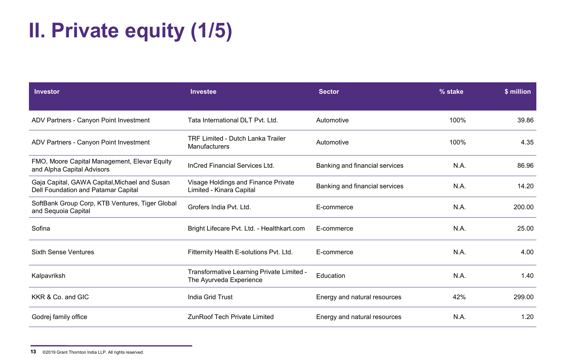### **II. Private equity (1/5)**

| <b>Investor</b>                                                                      | Investee                                                             | <b>Sector</b>                  | % stake | \$ million |
|--------------------------------------------------------------------------------------|----------------------------------------------------------------------|--------------------------------|---------|------------|
|                                                                                      |                                                                      |                                |         |            |
| ADV Partners - Canyon Point Investment                                               | Tata International DLT Pvt. Ltd.                                     | Automotive                     | 100%    | 39.86      |
| ADV Partners - Canyon Point Investment                                               | <b>TRF Limited - Dutch Lanka Trailer</b><br><b>Manufacturers</b>     | Automotive                     | 100%    | 4.35       |
| FMO, Moore Capital Management, Elevar Equity<br>and Alpha Capital Advisors           | InCred Financial Services Ltd.                                       | Banking and financial services | N.A.    | 86.96      |
| Gaja Capital, GAWA Capital, Michael and Susan<br>Dell Foundation and Patamar Capital | Visage Holdings and Finance Private<br>Limited - Kinara Capital      | Banking and financial services | N.A.    | 14.20      |
| SoftBank Group Corp, KTB Ventures, Tiger Global<br>and Sequoia Capital               | Grofers India Pvt. Ltd.                                              | E-commerce                     | N.A.    | 200.00     |
| Sofina                                                                               | Bright Lifecare Pvt. Ltd. - Healthkart.com                           | E-commerce                     | N.A.    | 25.00      |
| <b>Sixth Sense Ventures</b>                                                          | Fitternity Health E-solutions Pvt. Ltd.                              | E-commerce                     | N.A.    | 4.00       |
| Kalpavriksh                                                                          | Transformative Learning Private Limited -<br>The Ayurveda Experience | Education                      | N.A.    | 1.40       |
| KKR & Co. and GIC                                                                    | India Grid Trust                                                     | Energy and natural resources   | 42%     | 299.00     |
| Godrej family office                                                                 | <b>ZunRoof Tech Private Limited</b>                                  | Energy and natural resources   | N.A.    | 1.20       |

**<sup>13</sup>** ©2019 Grant Thornton India LLP. All rights reserved.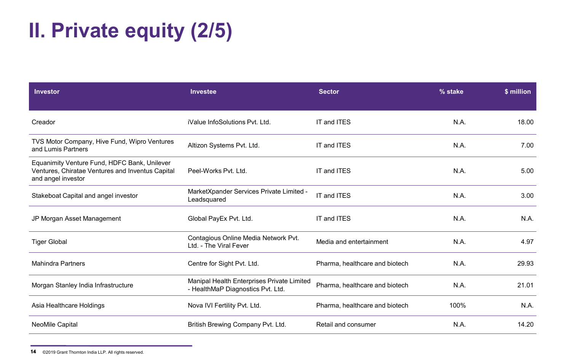### **II. Private equity (2/5)**

| Investor                                                                                                               | <b>Investee</b>                                                                 | <b>Sector</b>                  | % stake | \$ million |
|------------------------------------------------------------------------------------------------------------------------|---------------------------------------------------------------------------------|--------------------------------|---------|------------|
|                                                                                                                        |                                                                                 |                                |         |            |
| Creador                                                                                                                | iValue InfoSolutions Pvt. Ltd.                                                  | IT and ITES                    | N.A.    | 18.00      |
| TVS Motor Company, Hive Fund, Wipro Ventures<br>and Lumis Partners                                                     | Altizon Systems Pvt. Ltd.                                                       | IT and ITES                    | N.A.    | 7.00       |
| Equanimity Venture Fund, HDFC Bank, Unilever<br>Ventures, Chiratae Ventures and Inventus Capital<br>and angel investor | Peel-Works Pvt. Ltd.                                                            | IT and ITES                    | N.A.    | 5.00       |
| Stakeboat Capital and angel investor                                                                                   | MarketXpander Services Private Limited -<br>Leadsquared                         | IT and ITES                    | N.A.    | 3.00       |
| JP Morgan Asset Management                                                                                             | Global PayEx Pvt. Ltd.                                                          | IT and ITES                    | N.A.    | N.A.       |
| <b>Tiger Global</b>                                                                                                    | Contagious Online Media Network Pvt.<br>Ltd. - The Viral Fever                  | Media and entertainment        | N.A.    | 4.97       |
| <b>Mahindra Partners</b>                                                                                               | Centre for Sight Pvt. Ltd.                                                      | Pharma, healthcare and biotech | N.A.    | 29.93      |
| Morgan Stanley India Infrastructure                                                                                    | Manipal Health Enterprises Private Limited<br>- HealthMaP Diagnostics Pvt. Ltd. | Pharma, healthcare and biotech | N.A.    | 21.01      |
| Asia Healthcare Holdings                                                                                               | Nova IVI Fertility Pvt. Ltd.                                                    | Pharma, healthcare and biotech | 100%    | N.A.       |
| <b>NeoMile Capital</b>                                                                                                 | British Brewing Company Pvt. Ltd.                                               | Retail and consumer            | N.A.    | 14.20      |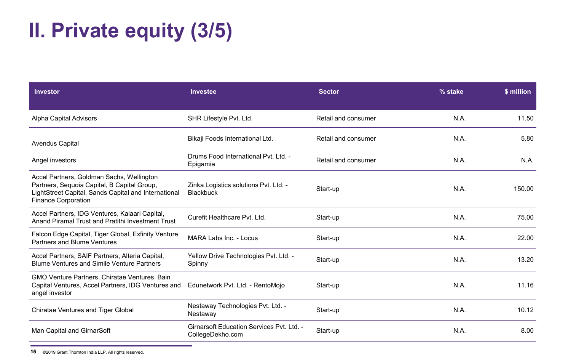### **II. Private equity (3/5)**

| <b>Investor</b>                                                                                                                                                                | <b>Investee</b>                                                      | <b>Sector</b>       | % stake | \$ million |
|--------------------------------------------------------------------------------------------------------------------------------------------------------------------------------|----------------------------------------------------------------------|---------------------|---------|------------|
| Alpha Capital Advisors                                                                                                                                                         | SHR Lifestyle Pvt. Ltd.                                              | Retail and consumer | N.A.    | 11.50      |
| <b>Avendus Capital</b>                                                                                                                                                         | Bikaji Foods International Ltd.                                      | Retail and consumer | N.A.    | 5.80       |
| Angel investors                                                                                                                                                                | Drums Food International Pvt. Ltd. -<br>Epigamia                     | Retail and consumer | N.A.    | N.A.       |
| Accel Partners, Goldman Sachs, Wellington<br>Partners, Sequoia Capital, B Capital Group,<br>LightStreet Capital, Sands Capital and International<br><b>Finance Corporation</b> | Zinka Logistics solutions Pvt. Ltd. -<br><b>Blackbuck</b>            | Start-up            | N.A.    | 150.00     |
| Accel Partners, IDG Ventures, Kalaari Capital,<br>Anand Piramal Trust and Pratithi Investment Trust                                                                            | Curefit Healthcare Pvt. Ltd.                                         | Start-up            | N.A.    | 75.00      |
| Falcon Edge Capital, Tiger Global, Exfinity Venture<br>Partners and Blume Ventures                                                                                             | MARA Labs Inc. - Locus                                               | Start-up            | N.A.    | 22.00      |
| Accel Partners, SAIF Partners, Alteria Capital,<br><b>Blume Ventures and Simile Venture Partners</b>                                                                           | Yellow Drive Technologies Pvt. Ltd. -<br>Spinny                      | Start-up            | N.A.    | 13.20      |
| GMO Venture Partners, Chiratae Ventures, Bain<br>Capital Ventures, Accel Partners, IDG Ventures and<br>angel investor                                                          | Edunetwork Pvt. Ltd. - RentoMojo                                     | Start-up            | N.A.    | 11.16      |
| <b>Chiratae Ventures and Tiger Global</b>                                                                                                                                      | Nestaway Technologies Pvt. Ltd. -<br>Nestaway                        | Start-up            | N.A.    | 10.12      |
| Man Capital and GirnarSoft                                                                                                                                                     | <b>Girnarsoft Education Services Pvt. Ltd. -</b><br>CollegeDekho.com | Start-up            | N.A.    | 8.00       |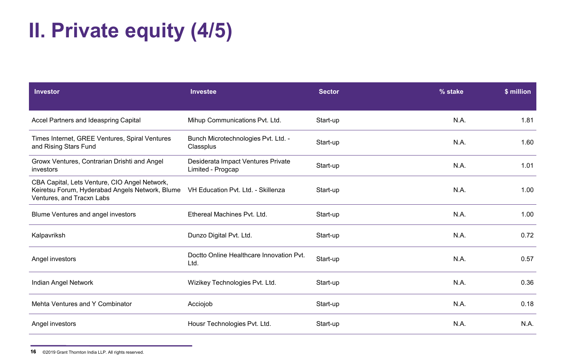### **II. Private equity (4/5)**

| Investor                                                                                                                      | <b>Investee</b>                                         | <b>Sector</b> | % stake | \$ million |
|-------------------------------------------------------------------------------------------------------------------------------|---------------------------------------------------------|---------------|---------|------------|
|                                                                                                                               |                                                         |               |         |            |
| Accel Partners and Ideaspring Capital                                                                                         | Mihup Communications Pvt. Ltd.                          | Start-up      | N.A.    | 1.81       |
| Times Internet, GREE Ventures, Spiral Ventures<br>and Rising Stars Fund                                                       | Bunch Microtechnologies Pvt. Ltd. -<br>Classplus        | Start-up      | N.A.    | 1.60       |
| Growx Ventures, Contrarian Drishti and Angel<br>investors                                                                     | Desiderata Impact Ventures Private<br>Limited - Progcap | Start-up      | N.A.    | 1.01       |
| CBA Capital, Lets Venture, CIO Angel Network,<br>Keiretsu Forum, Hyderabad Angels Network, Blume<br>Ventures, and Tracxn Labs | VH Education Pvt. Ltd. - Skillenza                      | Start-up      | N.A.    | 1.00       |
| Blume Ventures and angel investors                                                                                            | Ethereal Machines Pyt. Ltd.                             | Start-up      | N.A.    | 1.00       |
| Kalpavriksh                                                                                                                   | Dunzo Digital Pvt. Ltd.                                 | Start-up      | N.A.    | 0.72       |
| Angel investors                                                                                                               | Doctto Online Healthcare Innovation Pvt.<br>Ltd.        | Start-up      | N.A.    | 0.57       |
| Indian Angel Network                                                                                                          | Wizikey Technologies Pvt. Ltd.                          | Start-up      | N.A.    | 0.36       |
| Mehta Ventures and Y Combinator                                                                                               | Acciojob                                                | Start-up      | N.A.    | 0.18       |
| Angel investors                                                                                                               | Housr Technologies Pvt. Ltd.                            | Start-up      | N.A.    | N.A.       |

**<sup>16</sup>** ©2019 Grant Thornton India LLP. All rights reserved.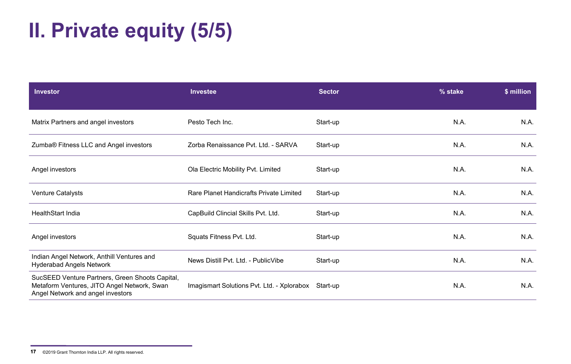### **II. Private equity (5/5)**

| <b>Investor</b>                                                                                                                     | Investee                                            | <b>Sector</b> | % stake | \$ million |
|-------------------------------------------------------------------------------------------------------------------------------------|-----------------------------------------------------|---------------|---------|------------|
| Matrix Partners and angel investors                                                                                                 | Pesto Tech Inc.                                     | Start-up      | N.A.    | N.A.       |
| Zumba® Fitness LLC and Angel investors                                                                                              | Zorba Renaissance Pvt. Ltd. - SARVA                 | Start-up      | N.A.    | N.A.       |
| Angel investors                                                                                                                     | Ola Electric Mobility Pvt. Limited                  | Start-up      | N.A.    | N.A.       |
| Venture Catalysts                                                                                                                   | Rare Planet Handicrafts Private Limited             | Start-up      | N.A.    | N.A.       |
| <b>HealthStart India</b>                                                                                                            | CapBuild Clincial Skills Pvt. Ltd.                  | Start-up      | N.A.    | N.A.       |
| Angel investors                                                                                                                     | Squats Fitness Pvt. Ltd.                            | Start-up      | N.A.    | N.A.       |
| Indian Angel Network, Anthill Ventures and<br><b>Hyderabad Angels Network</b>                                                       | News Distill Pvt. Ltd. - PublicVibe                 | Start-up      | N.A.    | N.A.       |
| SucSEED Venture Partners, Green Shoots Capital,<br>Metaform Ventures, JITO Angel Network, Swan<br>Angel Network and angel investors | Imagismart Solutions Pvt. Ltd. - Xplorabox Start-up |               | N.A.    | N.A.       |

**<sup>17</sup>** ©2019 Grant Thornton India LLP. All rights reserved.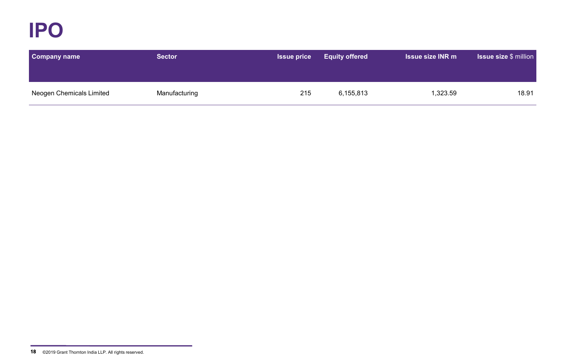**IPO**

| <b>Company name</b>      | <b>Sector</b> | <b>Issue price</b> | <b>Equity offered</b> | <b>Issue size INR m</b> | <b>Issue size \$ million</b> |
|--------------------------|---------------|--------------------|-----------------------|-------------------------|------------------------------|
|                          |               |                    |                       |                         |                              |
| Neogen Chemicals Limited | Manufacturing | 215                | 6,155,813             | 1,323.59                | 18.91                        |

**<sup>18</sup>** ©2019 Grant Thornton India LLP. All rights reserved.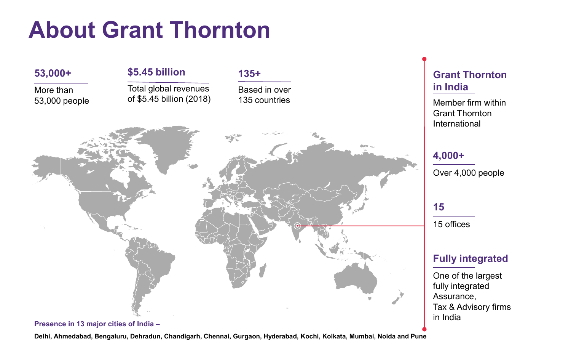## **About Grant Thornton**



### **Delhi, Ahmedabad, Bengaluru, Dehradun, Chandigarh, Chennai, Gurgaon, Hyderabad, Kochi, Kolkata, Mumbai, Noida and Pune**

### **Grant Thornton in India**

Member firm within Grant Thornton International

### **4,000+**

Over 4,000 people

### **15**

15 offices

### **Fully integrated**

One of the largest fully integrated Assurance, Tax & Advisory firms in India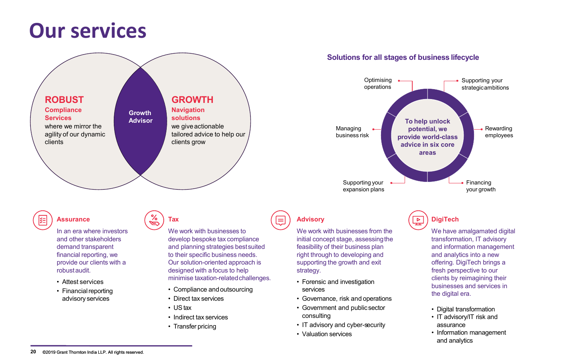### **Our services**



### **Solutions for all stages of business lifecycle**



demand transparent financial reporting, we provide our clients with a robustaudit.

- Attest services
- Financial reporting advisory services

and planning strategies bestsuited to their specific business needs. Our solution-oriented approach is designed with afocus to help minimise taxation-relatedchallenges.

- Compliance andoutsourcing
- Direct tax services
- UStax
- Indirect tax services
- Transfer pricing

We work with businesses from the initial concept stage, assessing the feasibility of their business plan right through to developing and supporting the growth and exit strategy.

- Forensic and investigation services
- Governance, risk and operations
- Government and publicsector consulting
- IT advisory and cyber-security
- Valuation services

### **DigiTech**

 $\overline{P}$ 

We have amalgamated digital transformation, IT advisory and information management and analytics into a new offering. DigiTech brings a fresh perspective to our clients by reimagining their businesses and services in the digital era.

- Digital transformation
- IT advisory/IT risk and assurance
- Information management and analytics